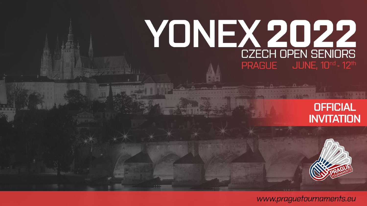# **YONEX 2022 CZECH OPEN SENIORS PRAGUE** JUNE, 10<sup>nd</sup> - 12<sup>th</sup>





www.praguetournaments.eu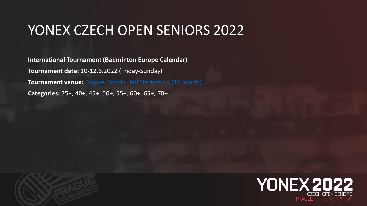#### YONEX CZECH OPEN SENIORS 2022

**International Tournament (Badminton Europe Calendar) Tournament date:** 10-12.6.2022 (Friday-Sunday) **Tournament venue**: [Prague, Sports Hall Sterboholy](https://goo.gl/maps/6jf8u6vPGKw) (10 courts) **Categories:** 35+, 40+, 45+, 50+, 55+, 60+, 65+, 70+



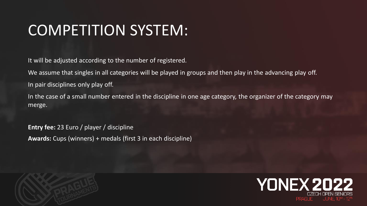# COMPETITION SYSTEM:

It will be adjusted according to the number of registered.

We assume that singles in all categories will be played in groups and then play in the advancing play off.

In pair disciplines only play off.

In the case of a small number entered in the discipline in one age category, the organizer of the category may merge.

**Entry fee:** 23 Euro / player / discipline **Awards:** Cups (winners) + medals (first 3 in each discipline)



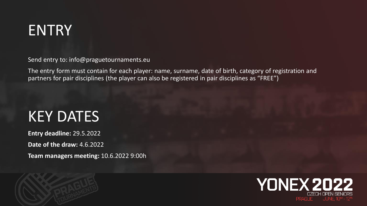

Send entry to: info@praguetournaments.eu

The entry form must contain for each player: name, surname, date of birth, category of registration and partners for pair disciplines (the player can also be registered in pair disciplines as "FREE")

#### KEY DATES

**Entry deadline:** 29.5.2022 **Date of the draw:** 4.6.2022 **Team managers meeting:** 10.6.2022 9:00h



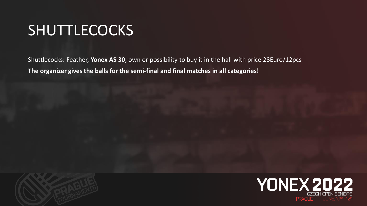#### **SHUTTLECOCKS**

Shuttlecocks: Feather, **Yonex AS 30**, own or possibility to buy it in the hall with price 28Euro/12pcs **The organizer gives the balls for the semi-final and final matches in all categories!**

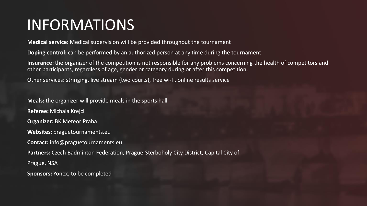# INFORMATIONS

**Medical service:** Medical supervision will be provided throughout the tournament

**Doping control:** can be performed by an authorized person at any time during the tournament

**Insurance:** the organizer of the competition is not responsible for any problems concerning the health of competitors and other participants, regardless of age, gender or category during or after this competition.

Other services: stringing, live stream (two courts), free wi-fi, online results service

**Meals:** the organizer will provide meals in the sports hall **Referee:** Michala Krejci **Organizer:** BK Meteor Praha **Websites:** praguetournaments.eu **Contact:** info@praguetournaments.eu **Partners:** Czech Badminton Federation, Prague-Sterboholy City District, Capital City of Prague, NSA

**Sponsors:** Yonex, to be completed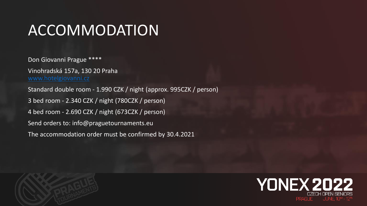# ACCOMMODATION

Don Giovanni Prague \*\*\*\* Vinohradská 157a, 130 20 Praha [www.hotelgiovanni.cz](http://www.hotelgiovanni.cz/) Standard double room - 1.990 CZK / night (approx. 995CZK / person) 3 bed room - 2.340 CZK / night (780CZK / person) 4 bed room - 2.690 CZK / night (673CZK / person) Send orders to: info@praguetournaments.eu The accommodation order must be confirmed by 30.4.2021



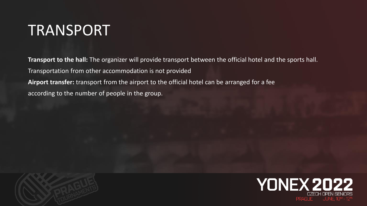#### TRANSPORT

**Transport to the hall:** The organizer will provide transport between the official hotel and the sports hall. Transportation from other accommodation is not provided **Airport transfer:** transport from the airport to the official hotel can be arranged for a fee according to the number of people in the group.